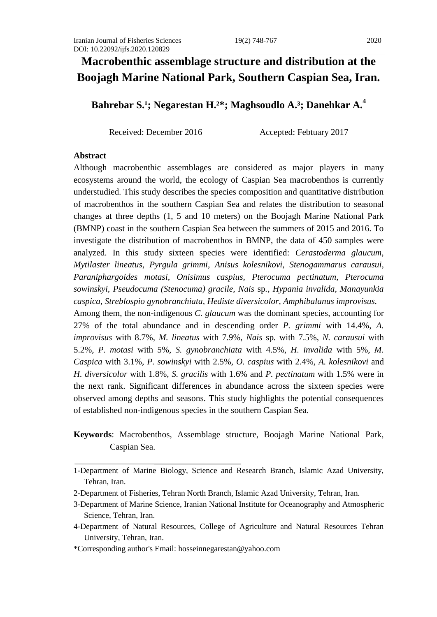# **Macrobenthic assemblage structure and distribution at the Boojagh Marine National Park, Southern Caspian Sea, Iran.**

## **Bahrebar S.<sup>1</sup>; Negarestan H.<sup>2\*</sup>; Maghsoudlo A.<sup>3</sup>; Danehkar A.<sup>4</sup>**

Received: December 2016 Accepted: Febtuary 2017

#### **Abstract**

Although macrobenthic assemblages are considered as major players in many ecosystems around the world, the ecology of Caspian Sea macrobenthos is currently understudied. This study describes the species composition and quantitative distribution of macrobenthos in the southern Caspian Sea and relates the distribution to seasonal changes at three depths (1, 5 and 10 meters) on the Boojagh Marine National Park (BMNP) coast in the southern Caspian Sea between the summers of 2015 and 2016. To investigate the distribution of macrobenthos in BMNP, the data of 450 samples were analyzed. In this study sixteen species were identified: *Cerastoderma glaucum*, *Mytilaster lineatus*, *Pyrgula grimmi, Anisus kolesnikovi, Stenogammarus carausui, Paraniphargoides motasi, Onisimus caspius, Pterocuma pectinatum, Pterocuma sowinskyi, Pseudocuma (Stenocuma) gracile, Nais* sp*., Hypania invalida, Manayunkia caspica, Streblospio gynobranchiata, Hediste diversicolor, Amphibalanus improvisus.*

Among them, the non-indigenous *C. glaucum* was the dominant species, accounting for 27% of the total abundance and in descending order *P. grimmi* with 14.4%, *A. improvisus* with 8.7%, *M. lineatus* with 7.9%, *Nais* sp*.* with 7.5%, *N. carausui* with 5.2%, *P. motasi* with 5%, *S. gynobranchiata* with 4.5%, *H. invalida* with 5%, *M. Caspica* with 3.1%, *P. sowinskyi* with 2.5%, *O. caspius* with 2.4%, *A. kolesnikovi* and *H. diversicolor* with 1.8%, *S. gracilis* with 1.6% and *P. pectinatum* with 1.5% were in the next rank. Significant differences in abundance across the sixteen species were observed among depths and seasons. This study highlights the potential consequences of established non-indigenous species in the southern Caspian Sea.

## **Keywords**: Macrobenthos, Assemblage structure, Boojagh Marine National Park, Caspian Sea.

<sup>1-</sup>Department of Marine Biology, Science and Research Branch, Islamic Azad University, Tehran, Iran.

<sup>2-</sup>Department of Fisheries, Tehran North Branch, Islamic Azad University, Tehran, Iran.

<sup>3-</sup>Department of Marine Science, Iranian National Institute for Oceanography and Atmospheric Science, Tehran, Iran.

<sup>4-</sup>Department of Natural Resources, College of Agriculture and Natural Resources Tehran University, Tehran, Iran.

<sup>\*</sup>Corresponding author's Email: hosseinnegarestan@yahoo.com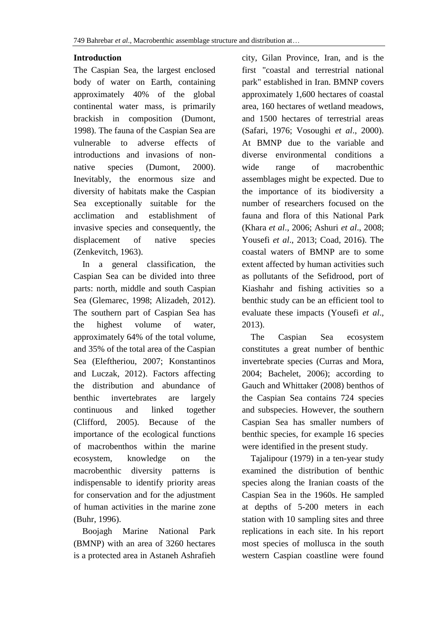## **Introduction**

The Caspian Sea, the largest enclosed body of water on Earth, containing approximately 40% of the global continental water mass, is primarily brackish in composition (Dumont, 1998). The fauna of the Caspian Sea are vulnerable to adverse effects of introductions and invasions of nonnative species (Dumont, 2000). Inevitably, the enormous size and diversity of habitats make the Caspian Sea exceptionally suitable for the acclimation and establishment of invasive species and consequently, the displacement of native species (Zenkevitch, 1963).

 In a general classification, the Caspian Sea can be divided into three parts: north, middle and south Caspian Sea (Glemarec, 1998; Alizadeh, 2012). The southern part of Caspian Sea has the highest volume of water, approximately 64% of the total volume, and 35% of the total area of the Caspian Sea (Eleftheriou, 2007; Konstantinos and Luczak, 2012). Factors affecting the distribution and abundance of benthic invertebrates are largely continuous and linked together (Clifford, 2005). Because of the importance of the ecological functions of macrobenthos within the marine ecosystem, knowledge on the macrobenthic diversity patterns is indispensable to identify priority areas for conservation and for the adjustment of human activities in the marine zone (Buhr, 1996).

 Boojagh Marine National Park (BMNP) with an area of 3260 hectares is a protected area in Astaneh Ashrafieh

city, Gilan Province, Iran, and is the first "coastal and terrestrial national park" established in Iran. BMNP covers approximately 1,600 hectares of coastal area, 160 hectares of wetland meadows, and 1500 hectares of terrestrial areas (Safari, 1976; Vosoughi *et al*., 2000). At BMNP due to the variable and diverse environmental conditions a wide range of macrobenthic assemblages might be expected. Due to the importance of its biodiversity a number of researchers focused on the fauna and flora of this National Park (Khara *et al*., 2006; Ashuri *et al*., 2008; Yousefi *et al*., 2013; Coad, 2016). The coastal waters of BMNP are to some extent affected by human activities such as pollutants of the Sefidrood, port of Kiashahr and fishing activities so a benthic study can be an efficient tool to evaluate these impacts (Yousefi *et al*., 2013).

 The Caspian Sea ecosystem constitutes a great number of benthic invertebrate species (Curras and Mora, 2004; Bachelet, 2006); according to Gauch and Whittaker (2008) benthos of the Caspian Sea contains 724 species and subspecies. However, the southern Caspian Sea has smaller numbers of benthic species, for example 16 species were identified in the present study.

 Tajalipour (1979) in a ten-year study examined the distribution of benthic species along the Iranian coasts of the Caspian Sea in the 1960s. He sampled at depths of 5-200 meters in each station with 10 sampling sites and three replications in each site. In his report most species of mollusca in the south western Caspian coastline were found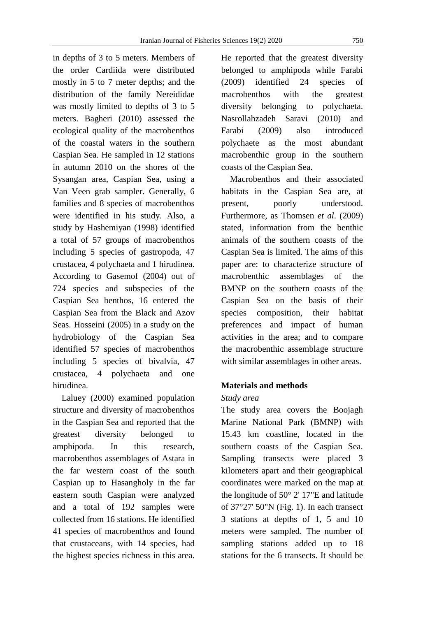in depths of 3 to 5 meters. Members of the order Cardiida were distributed mostly in 5 to 7 meter depths; and the distribution of the family Nereididae was mostly limited to depths of 3 to 5 meters. Bagheri (2010) assessed the ecological quality of the macrobenthos of the coastal waters in the southern Caspian Sea. He sampled in 12 stations in autumn 2010 on the shores of the Sysangan area, Caspian Sea, using a Van Veen grab sampler. Generally, 6 families and 8 species of macrobenthos were identified in his study. Also, a study by Hashemiyan (1998) identified a total of 57 groups of macrobenthos including 5 species of gastropoda, 47 crustacea, 4 polychaeta and 1 hirudinea. According to Gasemof (2004) out of 724 species and subspecies of the Caspian Sea benthos, 16 entered the Caspian Sea from the Black and Azov Seas. Hosseini (2005) in a study on the hydrobiology of the Caspian Sea identified 57 species of macrobenthos including 5 species of bivalvia, 47 crustacea, 4 polychaeta and one hirudinea.

 Laluey (2000) examined population structure and diversity of macrobenthos in the Caspian Sea and reported that the greatest diversity belonged to amphipoda. In this research, macrobenthos assemblages of Astara in the far western coast of the south Caspian up to Hasangholy in the far eastern south Caspian were analyzed and a total of 192 samples were collected from 16 stations. He identified 41 species of macrobenthos and found that crustaceans, with 14 species, had the highest species richness in this area.

He reported that the greatest diversity belonged to amphipoda while Farabi (2009) identified 24 species of macrobenthos with the greatest diversity belonging to polychaeta. Nasrollahzadeh Saravi (2010) and Farabi (2009) also introduced polychaete as the most abundant macrobenthic group in the southern coasts of the Caspian Sea.

 Macrobenthos and their associated habitats in the Caspian Sea are, at present, poorly understood. Furthermore, as Thomsen *et al*. (2009) stated, information from the benthic animals of the southern coasts of the Caspian Sea is limited. The aims of this paper are: to characterize structure of macrobenthic assemblages of the BMNP on the southern coasts of the Caspian Sea on the basis of their species composition, their habitat preferences and impact of human activities in the area; and to compare the macrobenthic assemblage structure with similar assemblages in other areas.

## **Materials and methods**

#### *Study area*

The study area covers the Boojagh Marine National Park (BMNP) with 15.43 km coastline, located in the southern coasts of the Caspian Sea. Sampling transects were placed 3 kilometers apart and their geographical coordinates were marked on the map at the longitude of 50° 2' 17"E and latitude of 37°27' 50"N (Fig. 1). In each transect 3 stations at depths of 1, 5 and 10 meters were sampled. The number of sampling stations added up to 18 stations for the 6 transects. It should be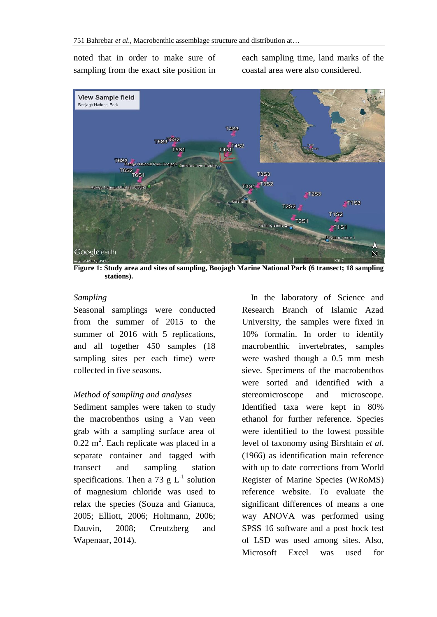noted that in order to make sure of sampling from the exact site position in each sampling time, land marks of the coastal area were also considered.



**Figure 1: Study area and sites of sampling, Boojagh Marine National Park (6 transect; 18 sampling stations).**

#### *Sampling*

Seasonal samplings were conducted from the summer of 2015 to the summer of 2016 with 5 replications, and all together 450 samples (18 sampling sites per each time) were collected in five seasons.

#### *Method of sampling and analyses*

Sediment samples were taken to study the macrobenthos using a Van veen grab with a sampling surface area of  $0.22 \text{ m}^2$ . Each replicate was placed in a separate container and tagged with transect and sampling station specifications. Then a 73 g  $L^{-1}$  solution of magnesium chloride was used to relax the species (Souza and Gianuca, 2005; Elliott, 2006; Holtmann, 2006; Dauvin, 2008; Creutzberg and Wapenaar, 2014).

 In the laboratory of Science and Research Branch of Islamic Azad University, the samples were fixed in 10% formalin. In order to identify macrobenthic invertebrates, samples were washed though a 0.5 mm mesh sieve. Specimens of the macrobenthos were sorted and identified with a stereomicroscope and microscope. Identified taxa were kept in 80% ethanol for further reference. Species were identified to the lowest possible level of taxonomy using Birshtain *et al*. (1966) as identification main reference with up to date corrections from World Register of Marine Species (WRoMS) reference website. To evaluate the significant differences of means a one way ANOVA was performed using SPSS 16 software and a post hock test of LSD was used among sites. Also, Microsoft Excel was used for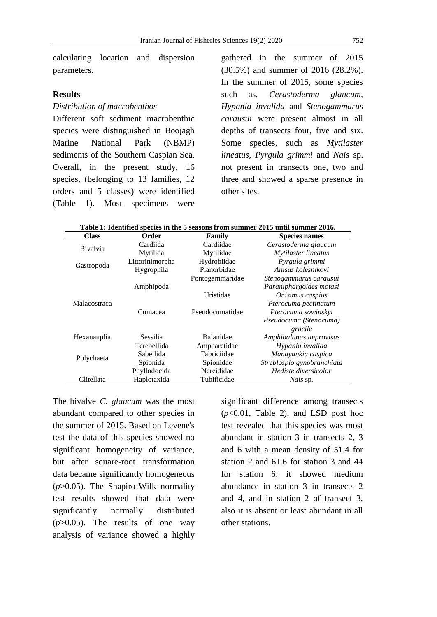calculating location and dispersion parameters.

#### **Results**

#### *Distribution of macrobenthos*

Different soft sediment macrobenthic species were distinguished in Boojagh Marine National Park (NBMP) sediments of the Southern Caspian Sea. Overall, in the present study, 16 species, (belonging to 13 families, 12 orders and 5 classes) were identified (Table 1). Most specimens were

gathered in the summer of 2015 (30.5%) and summer of 2016 (28.2%). In the summer of 2015, some species such as, *Cerastoderma glaucum*, *Hypania invalida* and *Stenogammarus carausui* were present almost in all depths of transects four, five and six. Some species, such as *Mytilaster lineatus*, *Pyrgula grimmi* and *Nais* sp. not present in transects one, two and three and showed a sparse presence in other sites.

| Class           | Order           | Family                            | <b>Species names</b>       |
|-----------------|-----------------|-----------------------------------|----------------------------|
| <b>Bivalvia</b> | Cardiida        | Cardiidae<br>Cerastoderma glaucum |                            |
|                 | Mytilida        | Mytilidae                         | Mytilaster lineatus        |
| Gastropoda      | Littorinimorpha | Hydrobiidae<br>Pyrgula grimmi     |                            |
|                 | Hygrophila      | Planorbidae                       | Anisus kolesnikovi         |
|                 |                 | Pontogammaridae                   | Stenogammarus carausui     |
|                 | Amphipoda       |                                   | Paraniphargoides motasi    |
| Malacostraca    |                 | Uristidae                         | Onisimus caspius           |
|                 |                 |                                   | Pterocuma pectinatum       |
|                 | Cumacea         | Pseudocumatidae                   | Pterocuma sowinskyi        |
|                 |                 |                                   | Pseudocuma (Stenocuma)     |
|                 |                 |                                   | gracile                    |
| Hexanauplia     | Sessilia        | Balanidae                         | Amphibalanus improvisus    |
|                 | Terebellida     | Ampharetidae                      | Hypania invalida           |
| Polychaeta      | Sabellida       | Fabriciidae<br>Manayunkia caspica |                            |
|                 | Spionida        | Spionidae                         | Streblospio gynobranchiata |
|                 | Phyllodocida    | Nereididae                        | Hediste diversicolor       |
| Clitellata      | Haplotaxida     | Tubificidae                       | <i>Nais</i> sp.            |

|--|

The bivalve *C. glaucum* was the most abundant compared to other species in the summer of 2015. Based on Levene's test the data of this species showed no significant homogeneity of variance, but after square-root transformation data became significantly homogeneous (*p*>0.05). The Shapiro-Wilk normality test results showed that data were significantly normally distributed  $(p>0.05)$ . The results of one way analysis of variance showed a highly

significant difference among transects  $(p<0.01$ , Table 2), and LSD post hoc test revealed that this species was most abundant in station 3 in transects 2, 3 and 6 with a mean density of 51.4 for station 2 and 61.6 for station 3 and 44 for station 6; it showed medium abundance in station 3 in transects 2 and 4, and in station 2 of transect 3, also it is absent or least abundant in all other stations.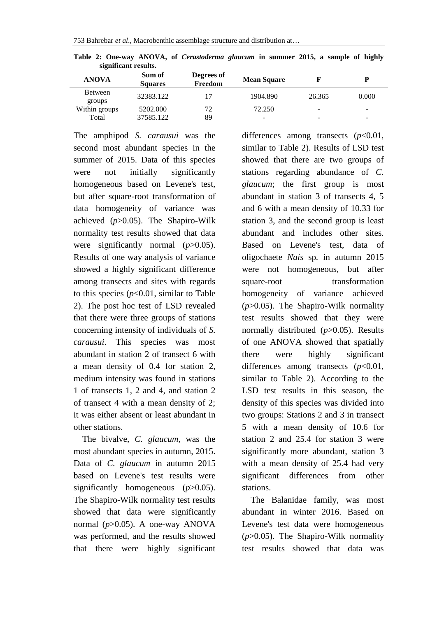|                   | significant results.     |                       |                          |        |       |
|-------------------|--------------------------|-----------------------|--------------------------|--------|-------|
| <b>ANOVA</b>      | Sum of<br><b>Squares</b> | Degrees of<br>Freedom | <b>Mean Square</b>       |        | D     |
| Between<br>groups | 32383.122                | 17                    | 1904.890                 | 26.365 | 0.000 |
| Within groups     | 5202.000                 | 72                    | 72.250                   | -      | -     |
| Total             | 37585.122                | 89                    | $\overline{\phantom{a}}$ | -      | -     |

**Table 2: One-way ANOVA, of** *Cerastoderma glaucum* **in summer 2015, a sample of highly significant results.**

The amphipod *S. carausui* was the second most abundant species in the summer of 2015. Data of this species were not initially significantly homogeneous based on Levene's test, but after square-root transformation of data homogeneity of variance was achieved (*p*>0.05). The Shapiro-Wilk normality test results showed that data were significantly normal (*p*>0.05). Results of one way analysis of variance showed a highly significant difference among transects and sites with regards to this species  $(p<0.01$ , similar to Table 2). The post hoc test of LSD revealed that there were three groups of stations concerning intensity of individuals of *S. carausui*. This species was most abundant in station 2 of transect 6 with a mean density of 0.4 for station 2, medium intensity was found in stations 1 of transects 1, 2 and 4, and station 2 of transect 4 with a mean density of 2; it was either absent or least abundant in other stations.

 The bivalve, *C. glaucum,* was the most abundant species in autumn, 2015. Data of *C. glaucum* in autumn 2015 based on Levene's test results were significantly homogeneous ( $p > 0.05$ ). The Shapiro-Wilk normality test results showed that data were significantly normal (*p*>0.05). A one-way ANOVA was performed, and the results showed that there were highly significant differences among transects (*p*<0.01, similar to Table 2). Results of LSD test showed that there are two groups of stations regarding abundance of *C. glaucum*; the first group is most abundant in station 3 of transects 4, 5 and 6 with a mean density of 10.33 for station 3, and the second group is least abundant and includes other sites. Based on Levene's test, data of oligochaete *Nais* sp*.* in autumn 2015 were not homogeneous, but after square-root transformation homogeneity of variance achieved (*p*>0.05). The Shapiro-Wilk normality test results showed that they were normally distributed (*p*>0.05). Results of one ANOVA showed that spatially there were highly significant differences among transects (*p*<0.01, similar to Table 2). According to the LSD test results in this season, the density of this species was divided into two groups: Stations 2 and 3 in transect 5 with a mean density of 10.6 for station 2 and 25.4 for station 3 were significantly more abundant, station 3 with a mean density of 25.4 had very significant differences from other stations.

 The Balanidae family, was most abundant in winter 2016. Based on Levene's test data were homogeneous (*p*>0.05). The Shapiro-Wilk normality test results showed that data was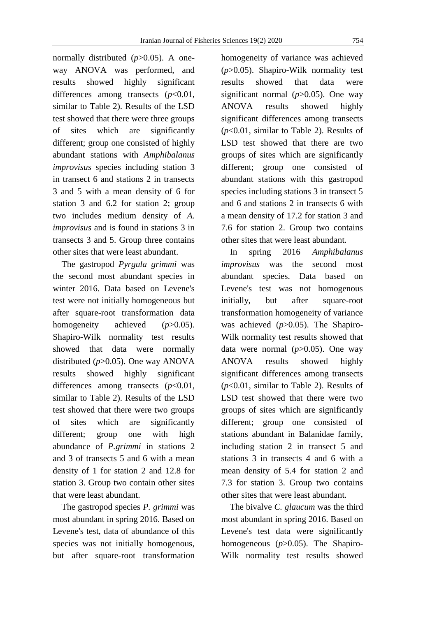normally distributed ( $p > 0.05$ ). A oneway ANOVA was performed, and results showed highly significant differences among transects (*p*<0.01, similar to Table 2). Results of the LSD test showed that there were three groups of sites which are significantly different; group one consisted of highly abundant stations with *Amphibalanus improvisus* species including station 3 in transect 6 and stations 2 in transects 3 and 5 with a mean density of 6 for station 3 and 6.2 for station 2; group two includes medium density of *A. improvisus* and is found in stations 3 in transects 3 and 5. Group three contains other sites that were least abundant.

 The gastropod *Pyrgula grimmi* was the second most abundant species in winter 2016. Data based on Levene's test were not initially homogeneous but after square-root transformation data homogeneity achieved (*p*>0.05). Shapiro-Wilk normality test results showed that data were normally distributed (*p*>0.05). One way ANOVA results showed highly significant differences among transects (*p*<0.01, similar to Table 2). Results of the LSD test showed that there were two groups of sites which are significantly different; group one with high abundance of *P.grimmi* in stations 2 and 3 of transects 5 and 6 with a mean density of 1 for station 2 and 12.8 for station 3. Group two contain other sites that were least abundant.

 The gastropod species *P. grimmi* was most abundant in spring 2016. Based on Levene's test, data of abundance of this species was not initially homogenous, but after square-root transformation

homogeneity of variance was achieved (*p*>0.05). Shapiro-Wilk normality test results showed that data were significant normal (*p*>0.05). One way ANOVA results showed highly significant differences among transects (*p*<0.01, similar to Table 2). Results of LSD test showed that there are two groups of sites which are significantly different; group one consisted of abundant stations with this gastropod species including stations 3 in transect 5 and 6 and stations 2 in transects 6 with a mean density of 17.2 for station 3 and 7.6 for station 2. Group two contains other sites that were least abundant.

 In spring 2016 *Amphibalanus improvisus* was the second most abundant species. Data based on Levene's test was not homogenous initially, but after square-root transformation homogeneity of variance was achieved ( $p > 0.05$ ). The Shapiro-Wilk normality test results showed that data were normal  $(p>0.05)$ . One way ANOVA results showed highly significant differences among transects (*p*<0.01, similar to Table 2). Results of LSD test showed that there were two groups of sites which are significantly different; group one consisted of stations abundant in Balanidae family, including station 2 in transect 5 and stations 3 in transects 4 and 6 with a mean density of 5.4 for station 2 and 7.3 for station 3. Group two contains other sites that were least abundant.

 The bivalve *C. glaucum* was the third most abundant in spring 2016. Based on Levene's test data were significantly homogeneous (*p*>0.05). The Shapiro-Wilk normality test results showed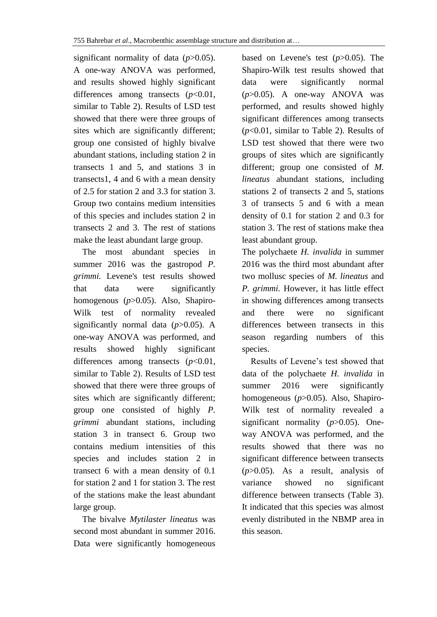significant normality of data (*p*>0.05). A one-way ANOVA was performed, and results showed highly significant differences among transects (*p*<0.01, similar to Table 2). Results of LSD test showed that there were three groups of sites which are significantly different; group one consisted of highly bivalve abundant stations, including station 2 in transects 1 and 5, and stations 3 in transects1, 4 and 6 with a mean density of 2.5 for station 2 and 3.3 for station 3. Group two contains medium intensities of this species and includes station 2 in transects 2 and 3. The rest of stations make the least abundant large group.

 The most abundant species in summer 2016 was the gastropod *P. grimmi.* Levene's test results showed that data were significantly homogenous (*p*>0.05). Also, Shapiro-Wilk test of normality revealed significantly normal data (*p*>0.05). A one-way ANOVA was performed, and results showed highly significant differences among transects (*p*<0.01, similar to Table 2). Results of LSD test showed that there were three groups of sites which are significantly different; group one consisted of highly *P. grimmi* abundant stations, including station 3 in transect 6. Group two contains medium intensities of this species and includes station 2 in transect 6 with a mean density of 0.1 for station 2 and 1 for station 3. The rest of the stations make the least abundant large group.

 The bivalve *Mytilaster lineatus* was second most abundant in summer 2016. Data were significantly homogeneous

based on Levene's test (*p*>0.05). The Shapiro-Wilk test results showed that data were significantly normal (*p*>0.05). A one-way ANOVA was performed, and results showed highly significant differences among transects (*p*<0.01, similar to Table 2). Results of LSD test showed that there were two groups of sites which are significantly different; group one consisted of *M. lineatus* abundant stations, including stations 2 of transects 2 and 5, stations 3 of transects 5 and 6 with a mean density of 0.1 for station 2 and 0.3 for station 3. The rest of stations make thea least abundant group.

The polychaete *H. invalida* in summer 2016 was the third most abundant after two mollusc species of *M. lineatus* and *P. grimmi.* However, it has little effect in showing differences among transects and there were no significant differences between transects in this season regarding numbers of this species.

 Results of Levene's test showed that data of the polychaete *H. invalida* in summer 2016 were significantly homogeneous (*p*>0.05). Also, Shapiro-Wilk test of normality revealed a significant normality (*p*>0.05). Oneway ANOVA was performed, and the results showed that there was no significant difference between transects (*p*>0.05). As a result, analysis of variance showed no significant difference between transects (Table 3). It indicated that this species was almost evenly distributed in the NBMP area in this season.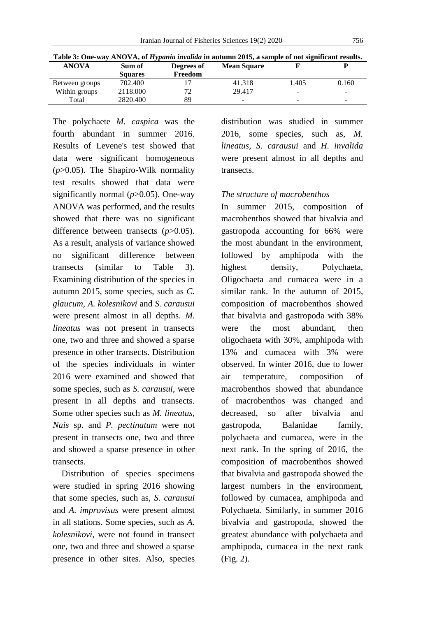| Table 3: One-way ANOVA, of <i>Hypania invalida</i> in autumn 2015, a sample of not significant results. |                |            |                    |                          |                          |  |  |  |
|---------------------------------------------------------------------------------------------------------|----------------|------------|--------------------|--------------------------|--------------------------|--|--|--|
| <b>ANOVA</b>                                                                                            | Sum of         | Degrees of | <b>Mean Square</b> |                          |                          |  |  |  |
|                                                                                                         | <b>Squares</b> | Freedom    |                    |                          |                          |  |  |  |
| Between groups                                                                                          | 702.400        |            | 41.318             | 1.405                    | 0.160                    |  |  |  |
| Within groups                                                                                           | 2118.000       | 72         | 29.417             | $\overline{\phantom{0}}$ | -                        |  |  |  |
| Total                                                                                                   | 2820.400       | 89         | -                  | -                        | $\overline{\phantom{a}}$ |  |  |  |

The polychaete *M. caspica* was the fourth abundant in summer 2016. Results of Levene's test showed that data were significant homogeneous (*p*>0.05). The Shapiro-Wilk normality test results showed that data were significantly normal (*p*>0.05). One-way ANOVA was performed, and the results showed that there was no significant difference between transects (*p*>0.05). As a result, analysis of variance showed no significant difference between transects (similar to Table 3). Examining distribution of the species in autumn 2015, some species, such as *C. glaucum*, *A. kolesnikovi* and *S. carausui* were present almost in all depths. *M. lineatus* was not present in transects one, two and three and showed a sparse presence in other transects. Distribution of the species individuals in winter 2016 were examined and showed that some species, such as *S. carausui*, were present in all depths and transects. Some other species such as *M. lineatus*, *Nais* sp. and *P. pectinatum* were not present in transects one, two and three and showed a sparse presence in other transects.

Distribution of species specimens were studied in spring 2016 showing that some species, such as, *S. carausui* and *A. improvisus* were present almost in all stations. Some species, such as *A. kolesnikovi*, were not found in transect one, two and three and showed a sparse presence in other sites. Also, species distribution was studied in summer 2016, some species, such as, *M. lineatus*, *S. carausui* and *H. invalida* were present almost in all depths and transects.

#### *The structure of macrobenthos*

In summer 2015, composition of macrobenthos showed that bivalvia and gastropoda accounting for 66% were the most abundant in the environment, followed by amphipoda with the highest density, Polychaeta, Oligochaeta and cumacea were in a similar rank. In the autumn of 2015, composition of macrobenthos showed that bivalvia and gastropoda with 38% were the most abundant, then oligochaeta with 30%, amphipoda with 13% and cumacea with 3% were observed. In winter 2016, due to lower air temperature, composition of macrobenthos showed that abundance of macrobenthos was changed and decreased, so after bivalvia and gastropoda, Balanidae family, polychaeta and cumacea, were in the next rank. In the spring of 2016, the composition of macrobenthos showed that bivalvia and gastropoda showed the largest numbers in the environment, followed by cumacea, amphipoda and Polychaeta. Similarly, in summer 2016 bivalvia and gastropoda, showed the greatest abundance with polychaeta and amphipoda, cumacea in the next rank (Fig. 2).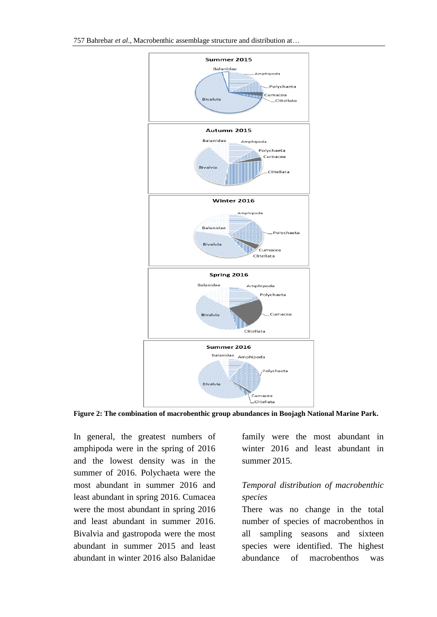

**Figure 2: The combination of macrobenthic group abundances in Boojagh National Marine Park.**

In general, the greatest numbers of amphipoda were in the spring of 2016 and the lowest density was in the summer of 2016. Polychaeta were the most abundant in summer 2016 and least abundant in spring 2016. Cumacea were the most abundant in spring 2016 and least abundant in summer 2016. Bivalvia and gastropoda were the most abundant in summer 2015 and least abundant in winter 2016 also Balanidae

family were the most abundant in winter 2016 and least abundant in summer 2015.

## *Temporal distribution of macrobenthic species*

There was no change in the total number of species of macrobenthos in all sampling seasons and sixteen species were identified. The highest abundance of macrobenthos was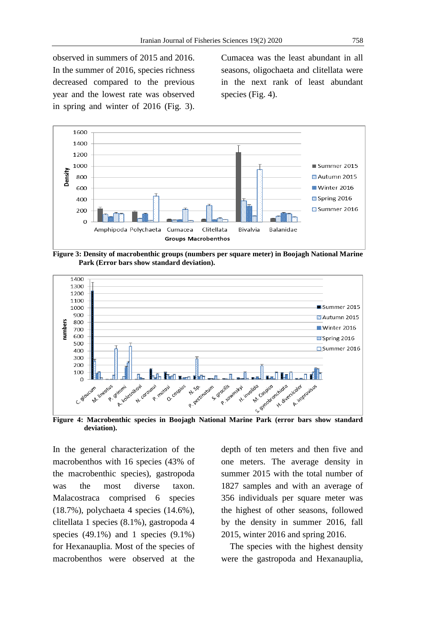observed in summers of 2015 and 2016. In the summer of 2016, species richness decreased compared to the previous year and the lowest rate was observed in spring and winter of 2016 (Fig. 3).

Cumacea was the least abundant in all seasons, oligochaeta and clitellata were in the next rank of least abundant species (Fig. 4).



**Figure 3: Density of macrobenthic groups (numbers per square meter) in Boojagh National Marine Park (Error bars show standard deviation).**



**deviation).**

In the general characterization of the macrobenthos with 16 species (43% of the macrobenthic species), gastropoda was the most diverse taxon. Malacostraca comprised 6 species (18.7%), polychaeta 4 species (14.6%), clitellata 1 species (8.1%), gastropoda 4 species  $(49.1\%)$  and 1 species  $(9.1\%)$ for Hexanauplia. Most of the species of macrobenthos were observed at the depth of ten meters and then five and one meters. The average density in summer 2015 with the total number of 1827 samples and with an average of 356 individuals per square meter was the highest of other seasons, followed by the density in summer 2016, fall 2015, winter 2016 and spring 2016.

 The species with the highest density were the gastropoda and Hexanauplia,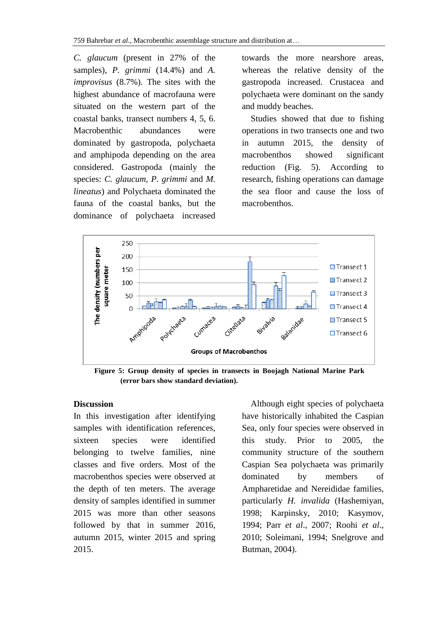*C. glaucum* (present in 27% of the samples), *P. grimmi* (14.4%) and *A. improvisus* (8.7%). The sites with the highest abundance of macrofauna were situated on the western part of the coastal banks, transect numbers 4, 5, 6. Macrobenthic abundances were dominated by gastropoda, polychaeta and amphipoda depending on the area considered. Gastropoda (mainly the species: *C. glaucum, P. grimmi* and *M. lineatus*) and Polychaeta dominated the fauna of the coastal banks, but the dominance of polychaeta increased

towards the more nearshore areas, whereas the relative density of the gastropoda increased. Crustacea and polychaeta were dominant on the sandy and muddy beaches.

 Studies showed that due to fishing operations in two transects one and two in autumn 2015, the density of macrobenthos showed significant reduction (Fig. 5). According to research, fishing operations can damage the sea floor and cause the loss of macrobenthos.



**Figure 5: Group density of species in transects in Boojagh National Marine Park (error bars show standard deviation).**

## **Discussion**

In this investigation after identifying samples with identification references, sixteen species were identified belonging to twelve families, nine classes and five orders. Most of the macrobenthos species were observed at the depth of ten meters. The average density of samples identified in summer 2015 was more than other seasons followed by that in summer 2016, autumn 2015, winter 2015 and spring 2015.

 Although eight species of polychaeta have historically inhabited the Caspian Sea, only four species were observed in this study. Prior to 2005, the community structure of the southern Caspian Sea polychaeta was primarily dominated by members of Ampharetidae and Nereididae families, particularly *H. invalida* (Hashemiyan, 1998; Karpinsky, 2010; Kasymov, 1994; Parr *et al*., 2007; Roohi *et al*., 2010; Soleimani, 1994; Snelgrove and Butman, 2004).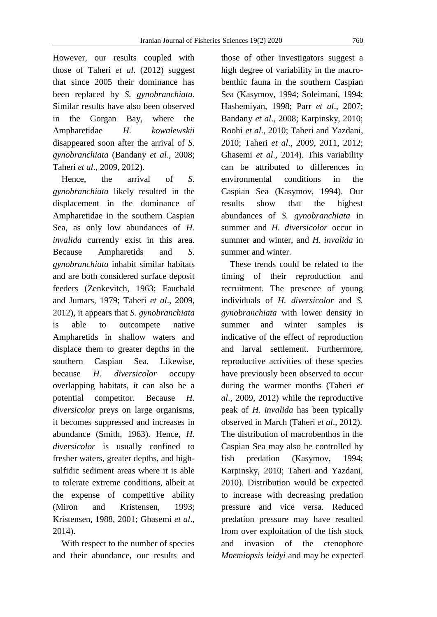However, our results coupled with those of Taheri *et al*. (2012) suggest that since 2005 their dominance has been replaced by *S. gynobranchiata*. Similar results have also been observed in the Gorgan Bay, where the Ampharetidae *H. kowalewskii* disappeared soon after the arrival of *S. gynobranchiata* (Bandany *et al*., 2008; Taheri *et al*., 2009, 2012).

 Hence, the arrival of *S. gynobranchiata* likely resulted in the displacement in the dominance of Ampharetidae in the southern Caspian Sea, as only low abundances of *H. invalida* currently exist in this area. Because Ampharetids and *S. gynobranchiata* inhabit similar habitats and are both considered surface deposit feeders (Zenkevitch, 1963; Fauchald and Jumars, 1979; Taheri *et al*., 2009, 2012), it appears that *S. gynobranchiata* is able to outcompete native Ampharetids in shallow waters and displace them to greater depths in the southern Caspian Sea. Likewise, because *H. diversicolor* occupy overlapping habitats, it can also be a potential competitor. Because *H. diversicolor* preys on large organisms, it becomes suppressed and increases in abundance (Smith, 1963). Hence, *H. diversicolor* is usually confined to fresher waters, greater depths, and highsulfidic sediment areas where it is able to tolerate extreme conditions, albeit at the expense of competitive ability (Miron and Kristensen, 1993; Kristensen, 1988, 2001; Ghasemi *et al*., 2014).

 With respect to the number of species and their abundance, our results and

those of other investigators suggest a high degree of variability in the macrobenthic fauna in the southern Caspian Sea (Kasymov, 1994; Soleimani, 1994; Hashemiyan, 1998; Parr *et al*., 2007; Bandany *et al*., 2008; Karpinsky, 2010; Roohi *et al*., 2010; Taheri and Yazdani, 2010; Taheri *et al*., 2009, 2011, 2012; Ghasemi *et al*., 2014). This variability can be attributed to differences in environmental conditions in the Caspian Sea (Kasymov, 1994). Our results show that the highest abundances of *S. gynobranchiata* in summer and *H. diversicolor* occur in summer and winter, and *H. invalida* in summer and winter.

 These trends could be related to the timing of their reproduction and recruitment. The presence of young individuals of *H. diversicolor* and *S. gynobranchiata* with lower density in summer and winter samples is indicative of the effect of reproduction and larval settlement. Furthermore, reproductive activities of these species have previously been observed to occur during the warmer months (Taheri *et al*., 2009, 2012) while the reproductive peak of *H. invalida* has been typically observed in March (Taheri *et al*., 2012). The distribution of macrobenthos in the Caspian Sea may also be controlled by fish predation (Kasymov, 1994; Karpinsky, 2010; Taheri and Yazdani, 2010). Distribution would be expected to increase with decreasing predation pressure and vice versa. Reduced predation pressure may have resulted from over exploitation of the fish stock and invasion of the ctenophore *Mnemiopsis leidyi* and may be expected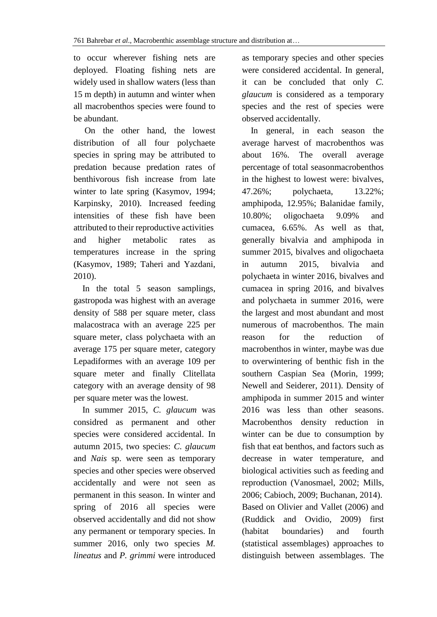to occur wherever fishing nets are deployed. Floating fishing nets are widely used in shallow waters (less than 15 m depth) in autumn and winter when all macrobenthos species were found to be abundant.

 On the other hand, the lowest distribution of all four polychaete species in spring may be attributed to predation because predation rates of benthivorous fish increase from late winter to late spring (Kasymov, 1994; Karpinsky, 2010). Increased feeding intensities of these fish have been attributed to their reproductive activities and higher metabolic rates as temperatures increase in the spring (Kasymov, 1989; Taheri and Yazdani, 2010).

 In the total 5 season samplings, gastropoda was highest with an average density of 588 per square meter, class malacostraca with an average 225 per square meter, class polychaeta with an average 175 per square meter, category Lepadiformes with an average 109 per square meter and finally Clitellata category with an average density of 98 per square meter was the lowest.

 In summer 2015, *C. glaucum* was considred as permanent and other species were considered accidental. In autumn 2015, two species: *C. glaucum* and *Nais* sp. were seen as temporary species and other species were observed accidentally and were not seen as permanent in this season. In winter and spring of 2016 all species were observed accidentally and did not show any permanent or temporary species. In summer 2016, only two species *M. lineatus* and *P. grimmi* were introduced as temporary species and other species were considered accidental. In general, it can be concluded that only *C. glaucum* is considered as a temporary species and the rest of species were observed accidentally.

 In general, in each season the average harvest of macrobenthos was about 16%. The overall average percentage of total seasonmacrobenthos in the highest to lowest were: bivalves, 47.26%; polychaeta, 13.22%; amphipoda, 12.95%; Balanidae family, 10.80%; oligochaeta 9.09% and cumacea, 6.65%. As well as that, generally bivalvia and amphipoda in summer 2015, bivalves and oligochaeta in autumn 2015, bivalvia and polychaeta in winter 2016, bivalves and cumacea in spring 2016, and bivalves and polychaeta in summer 2016, were the largest and most abundant and most numerous of macrobenthos. The main reason for the reduction of macrobenthos in winter, maybe was due to overwintering of benthic fish in the southern Caspian Sea (Morin, 1999; Newell and Seiderer, 2011). Density of amphipoda in summer 2015 and winter 2016 was less than other seasons. Macrobenthos density reduction in winter can be due to consumption by fish that eat benthos, and factors such as decrease in water temperature, and biological activities such as feeding and reproduction (Vanosmael, 2002; Mills, 2006; Cabioch, 2009; Buchanan, 2014). Based on Olivier and Vallet (2006) and (Ruddick and Ovidio, 2009) first (habitat boundaries) and fourth (statistical assemblages) approaches to distinguish between assemblages. The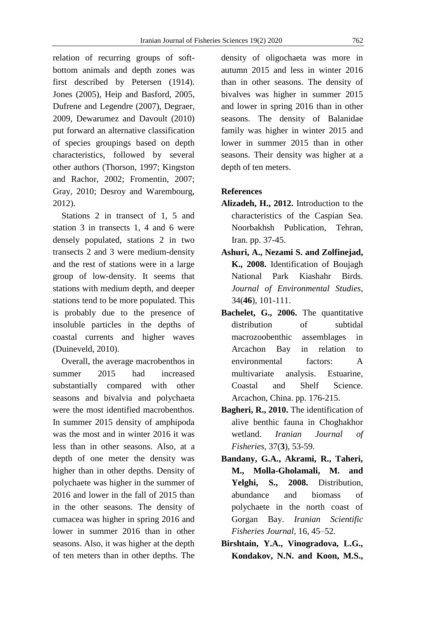relation of recurring groups of softbottom animals and depth zones was first described by Petersen (1914). Jones (2005), Heip and Basford, 2005, Dufrene and Legendre (2007), Degraer, 2009, Dewarumez and Davoult (2010) put forward an alternative classification of species groupings based on depth characteristics, followed by several other authors (Thorson, 1997; Kingston and Rachor, 2002; Fromentin, 2007; Gray, 2010; Desroy and Warembourg, 2012).

 Stations 2 in transect of 1, 5 and station 3 in transects 1, 4 and 6 were densely populated, stations 2 in two transects 2 and 3 were medium-density and the rest of stations were in a large group of low-density. It seems that stations with medium depth, and deeper stations tend to be more populated. This is probably due to the presence of insoluble particles in the depths of coastal currents and higher waves (Duineveld, 2010).

 Overall, the average macrobenthos in summer 2015 had increased substantially compared with other seasons and bivalvia and polychaeta were the most identified macrobenthos. In summer 2015 density of amphipoda was the most and in winter 2016 it was less than in other seasons. Also, at a depth of one meter the density was higher than in other depths. Density of polychaete was higher in the summer of 2016 and lower in the fall of 2015 than in the other seasons. The density of cumacea was higher in spring 2016 and lower in summer 2016 than in other seasons. Also, it was higher at the depth of ten meters than in other depths. The

density of oligochaeta was more in autumn 2015 and less in winter 2016 than in other seasons. The density of bivalves was higher in summer 2015 and lower in spring 2016 than in other seasons. The density of Balanidae family was higher in winter 2015 and lower in summer 2015 than in other seasons. Their density was higher at a depth of ten meters.

#### **References**

- **Alizadeh, H., 2012.** Introduction to the characteristics of the Caspian Sea. Noorbakhsh Publication, Tehran, Iran. pp. 37-45.
- **Ashuri, A., Nezami S. and Zolfinejad, K., 2008.** Identification of Boujagh National Park Kiashahr Birds. *Journal of Environmental Studies*, 34(**46**), 101-111.
- **Bachelet, G., 2006.** The quantitative distribution of subtidal macrozoobenthic assemblages in Arcachon Bay in relation to environmental factors: A multivariate analysis. Estuarine, Coastal and Shelf Science. Arcachon, China. pp. 176-215.
- **Bagheri, R., 2010.** The identification of alive benthic fauna in Choghakhor wetland. *Iranian Journal of Fisheries*, 37(**3**), 53-59.
- **Bandany, G.A., Akrami, R., Taheri, M., Molla-Gholamali, M. and Yelghi, S., 2008.** Distribution, abundance and biomass of polychaete in the north coast of Gorgan Bay. *Iranian Scientific Fisheries Journal,* 16, 45–52.
- **Birshtain, Y.A., Vinogradova, L.G., Kondakov, N.N. and Koon, M.S.,**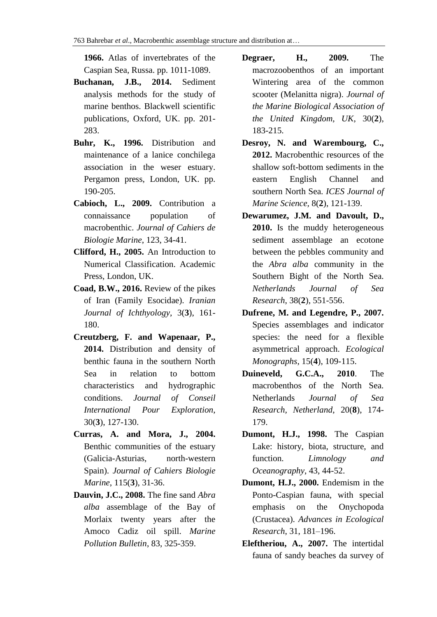**1966.** Atlas of invertebrates of the Caspian Sea, Russa. pp. 1011-1089.

- **Buchanan, J.B., 2014.** Sediment analysis methods for the study of marine benthos. Blackwell scientific publications, Oxford, UK. pp. 201- 283.
- **Buhr, K., 1996.** Distribution and maintenance of a lanice conchilega association in the weser estuary. Pergamon press, London, UK. pp. 190-205.
- **Cabioch, L., 2009.** Contribution a connaissance population of macrobenthic. *Journal of Cahiers de Biologie Marine*, 123, 34-41.
- **Clifford, H., 2005.** An Introduction to Numerical Classification. Academic Press, London, UK.
- **Coad, B.W., 2016.** Review of the pikes of Iran (Family Esocidae). *Iranian Journal of Ichthyology*, 3(**3**), 161- 180.
- **Creutzberg, F. and Wapenaar, P., 2014.** Distribution and density of benthic fauna in the southern North Sea in relation to bottom characteristics and hydrographic conditions. *Journal of Conseil International Pour Exploration*, 30(**3**), 127-130.
- **Curras, A. and Mora, J., 2004.** Benthic communities of the estuary (Galicia-Asturias, north-western Spain). *Journal of Cahiers Biologie Marine*, 115(**3**), 31-36.
- **Dauvin, J.C., 2008.** The fine sand *Abra alba* assemblage of the Bay of Morlaix twenty years after the Amoco Cadiz oil spill. *Marine Pollution Bulletin*, 83, 325-359.
- **Degraer, H., 2009.** The macrozoobenthos of an important Wintering area of the common scooter (Melanitta nigra). *Journal of the Marine Biological Association of the United Kingdom, UK*, 30(**2**), 183-215.
- **Desroy, N. and Warembourg, C., 2012.** Macrobenthic resources of the shallow soft-bottom sediments in the eastern English Channel and southern North Sea. *ICES Journal of Marine Science,* 8(**2**), 121-139.
- **Dewarumez, J.M. and Davoult, D., 2010.** Is the muddy heterogeneous sediment assemblage an ecotone between the pebbles community and the *Abra alba* community in the Southern Bight of the North Sea. *Netherlands Journal of Sea Research*, 38(**2**), 551-556.
- **Dufrene, M. and Legendre, P., 2007.** Species assemblages and indicator species: the need for a flexible asymmetrical approach. *Ecological Monographs*, 15(**4**), 109-115.
- **Duineveld, G.C.A., 2010**. The macrobenthos of the North Sea. Netherlands *Journal of Sea Research, Netherland*, 20(**8**), 174- 179.
- **Dumont, H.J., 1998.** The Caspian Lake: history, biota, structure, and function. *Limnology and Oceanography*, 43, 44-52.
- **Dumont, H.J., 2000.** Endemism in the Ponto-Caspian fauna, with special emphasis on the Onychopoda (Crustacea). *Advances in Ecological Research*, 31, 181–196.
- **Eleftheriou, A., 2007.** The intertidal fauna of sandy beaches da survey of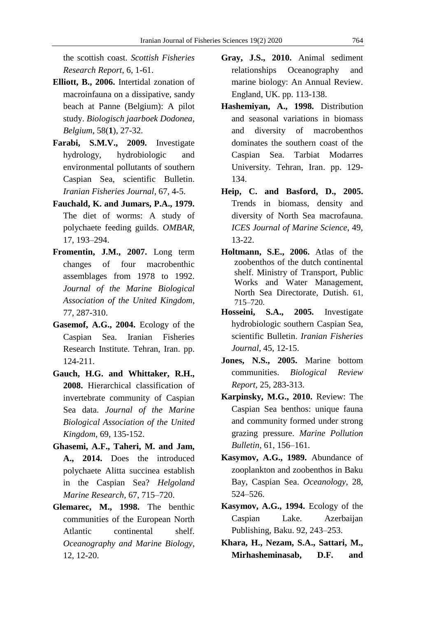the scottish coast. *Scottish Fisheries Research Report*, 6, 1-61.

- **Elliott, B., 2006.** Intertidal zonation of macroinfauna on a dissipative, sandy beach at Panne (Belgium): A pilot study. *Biologisch jaarboek Dodonea, Belgium*, 58(**1**), 27-32.
- **Farabi, S.M.V., 2009.** Investigate hydrology, hydrobiologic and environmental pollutants of southern Caspian Sea, scientific Bulletin. *Iranian Fisheries Journal*, 67, 4-5.
- **Fauchald, K. and Jumars, P.A., 1979.** The diet of worms: A study of polychaete feeding guilds. *OMBAR*, 17, 193–294.
- **Fromentin, J.M., 2007.** Long term changes of four macrobenthic assemblages from 1978 to 1992. *Journal of the Marine Biological Association of the United Kingdom*, 77, 287-310.
- **Gasemof, A.G., 2004.** Ecology of the Caspian Sea. Iranian Fisheries Research Institute. Tehran, Iran. pp. 124-211.
- **Gauch, H.G. and Whittaker, R.H., 2008.** Hierarchical classification of invertebrate community of Caspian Sea data. *Journal of the Marine Biological Association of the United Kingdom*, 69, 135-152.
- **Ghasemi, A.F., Taheri, M. and Jam, A., 2014.** Does the introduced polychaete Alitta succinea establish in the Caspian Sea? *Helgoland Marine Research,* 67, 715–720.
- **Glemarec, M., 1998.** The benthic communities of the European North Atlantic continental shelf. *Oceanography and Marine Biology*, 12, 12-20.
- **Gray, J.S., 2010.** Animal sediment relationships Oceanography and marine biology: An Annual Review. England, UK. pp. 113-138.
- **Hashemiyan, A., 1998.** Distribution and seasonal variations in biomass and diversity of macrobenthos dominates the southern coast of the Caspian Sea. Tarbiat Modarres University. Tehran, Iran. pp. 129- 134.
- **Heip, C. and Basford, D., 2005.** Trends in biomass, density and diversity of North Sea macrofauna. *ICES Journal of Marine Science*, 49, 13-22.
- **Holtmann, S.E., 2006.** Atlas of the zoobenthos of the dutch continental shelf. Ministry of Transport, Public Works and Water Management, North Sea Directorate, Dutish. 61, 715–720.
- **Hosseini, S.A., 2005.** Investigate hydrobiologic southern Caspian Sea, scientific Bulletin. *Iranian Fisheries Journal*, 45, 12-15.
- **Jones, N.S., 2005.** Marine bottom communities. *Biological Review Report*, 25, 283-313.
- **Karpinsky, M.G., 2010.** Review: The Caspian Sea benthos: unique fauna and community formed under strong grazing pressure. *Marine Pollution Bulletin*, 61, 156–161.
- **Kasymov, A.G., 1989.** Abundance of zooplankton and zoobenthos in Baku Bay, Caspian Sea. *Oceanology*, 28, 524–526.
- **Kasymov, A.G., 1994.** Ecology of the Caspian Lake. Azerbaijan Publishing, Baku. 92, 243–253.
- **Khara, H., Nezam, S.A., Sattari, M., Mirhasheminasab, D.F. and**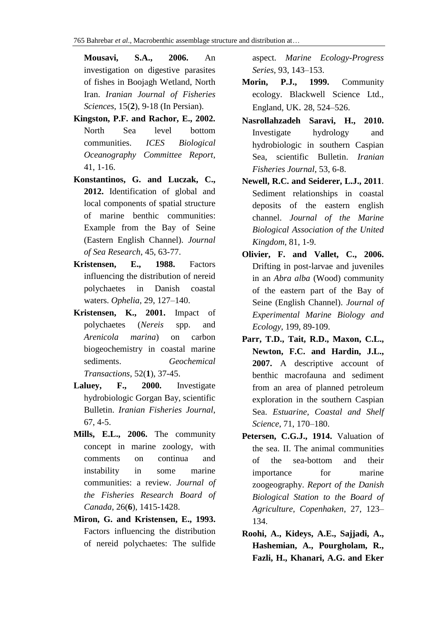**Mousavi, S.A., 2006.** An investigation on digestive parasites of fishes in Boojagh Wetland, North Iran. *Iranian Journal of Fisheries Sciences*, 15(**2**), 9-18 (In Persian).

- **Kingston, P.F. and Rachor, E., 2002.** North Sea level bottom communities. *ICES Biological Oceanography Committee Report*, 41, 1-16.
- **Konstantinos, G. and Luczak, C., 2012.** Identification of global and local components of spatial structure of marine benthic communities: Example from the Bay of Seine (Eastern English Channel). *Journal of Sea Research*, 45, 63-77.
- **Kristensen, E., 1988.** Factors influencing the distribution of nereid polychaetes in Danish coastal waters. *Ophelia,* 29, 127–140.
- **Kristensen, K., 2001.** Impact of polychaetes (*Nereis* spp. and *Arenicola marina*) on carbon biogeochemistry in coastal marine sediments. *Geochemical Transactions*, 52(**1**), 37-45.
- **Laluey, F., 2000.** Investigate hydrobiologic Gorgan Bay, scientific Bulletin. *Iranian Fisheries Journal*, 67, 4-5.
- **Mills, E.L., 2006.** The community concept in marine zoology, with comments on continua and instability in some marine communities: a review. *Journal of the Fisheries Research Board of Canada*, 26(**6**), 1415-1428.
- **Miron, G. and Kristensen, E., 1993.** Factors influencing the distribution of nereid polychaetes: The sulfide

aspect. *Marine Ecology-Progress Series*, 93, 143–153.

- **Morin, P.J., 1999.** Community ecology. Blackwell Science Ltd., England, UK. 28, 524–526.
- **Nasrollahzadeh Saravi, H., 2010.** Investigate hydrology and hydrobiologic in southern Caspian Sea, scientific Bulletin. *Iranian Fisheries Journal*, 53, 6-8.
- **Newell, R.C. and Seiderer, L.J., 2011**. Sediment relationships in coastal deposits of the eastern english channel. *Journal of the Marine Biological Association of the United Kingdom*, 81, 1-9.
- **Olivier, F. and Vallet, C., 2006.** Drifting in post-larvae and juveniles in an *Abra alba* (Wood) community of the eastern part of the Bay of Seine (English Channel). *Journal of Experimental Marine Biology and Ecology*, 199, 89-109.
- **Parr, T.D., Tait, R.D., Maxon, C.L., Newton, F.C. and Hardin, J.L., 2007.** A descriptive account of benthic macrofauna and sediment from an area of planned petroleum exploration in the southern Caspian Sea. *Estuarine, Coastal and Shelf Science*, 71, 170–180.
- **Petersen, C.G.J., 1914.** Valuation of the sea. II. The animal communities of the sea-bottom and their importance for marine zoogeography. *Report of the Danish Biological Station to the Board of Agriculture, Copenhaken*, 27, 123– 134.
- **Roohi, A., Kideys, A.E., Sajjadi, A., Hashemian, A., Pourgholam, R., Fazli, H., Khanari, A.G. and Eker**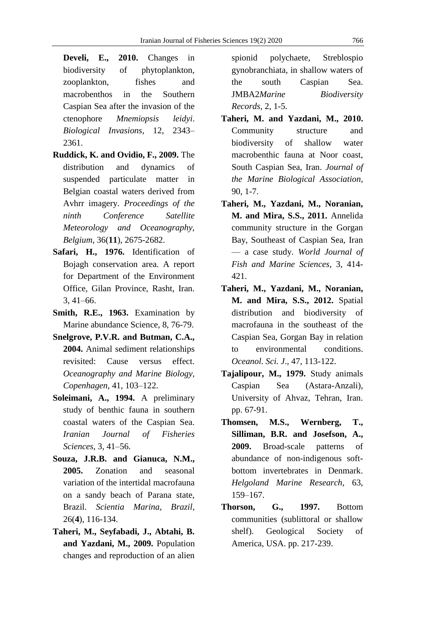**Develi, E., 2010.** Changes in biodiversity of phytoplankton, zooplankton, fishes and macrobenthos in the Southern Caspian Sea after the invasion of the ctenophore *Mnemiopsis leidyi*. *Biological Invasions,* 12, 2343– 2361.

- **Ruddick, K. and Ovidio, F., 2009.** The distribution and dynamics of suspended particulate matter in Belgian coastal waters derived from Avhrr imagery. *Proceedings of the ninth Conference Satellite Meteorology and Oceanography, Belgium*, 36(**11**), 2675-2682.
- **Safari, H., 1976.** Identification of Bojagh conservation area. A report for Department of the Environment Office, Gilan Province, Rasht, Iran. 3, 41–66.
- **Smith, R.E., 1963.** Examination by Marine abundance Science, 8, 76-79.
- **Snelgrove, P.V.R. and Butman, C.A., 2004.** Animal sediment relationships revisited: Cause versus effect. *Oceanography and Marine Biology, Copenhagen*, 41, 103–122.
- **Soleimani, A., 1994.** A preliminary study of benthic fauna in southern coastal waters of the Caspian Sea. *Iranian Journal of Fisheries Sciences*, 3, 41–56.
- **Souza, J.R.B. and Gianuca, N.M., 2005.** Zonation and seasonal variation of the intertidal macrofauna on a sandy beach of Parana state, Brazil. *Scientia Marina, Brazil*, 26(**4**), 116-134.
- **Taheri, M., Seyfabadi, J., Abtahi, B. and Yazdani, M., 2009.** Population changes and reproduction of an alien

spionid polychaete, Streblospio gynobranchiata, in shallow waters of the south Caspian Sea. JMBA2*Marine Biodiversity Records,* 2, 1-5.

- **Taheri, M. and Yazdani, M., 2010.** Community structure and biodiversity of shallow water macrobenthic fauna at Noor coast, South Caspian Sea, Iran. *Journal of the Marine Biological Association,* 90, 1-7.
- **Taheri, M., Yazdani, M., Noranian, M. and Mira, S.S., 2011.** Annelida community structure in the Gorgan Bay, Southeast of Caspian Sea, Iran — a case study. *World Journal of Fish and Marine Sciences*, 3, 414- 421.
- **Taheri, M., Yazdani, M., Noranian, M. and Mira, S.S., 2012.** Spatial distribution and biodiversity of macrofauna in the southeast of the Caspian Sea, Gorgan Bay in relation to environmental conditions. *Oceanol. Sci. J*., 47, 113-122.
- **Tajalipour, M., 1979.** Study animals Caspian Sea (Astara-Anzali), University of Ahvaz, Tehran, Iran. pp. 67-91.
- **Thomsen, M.S., Wernberg, T., Silliman, B.R. and Josefson, A., 2009.** Broad-scale patterns of abundance of non-indigenous softbottom invertebrates in Denmark. *Helgoland Marine Research*, 63, 159–167.
- **Thorson, G., 1997.** Bottom communities (sublittoral or shallow shelf). Geological Society of America, USA. pp. 217-239.